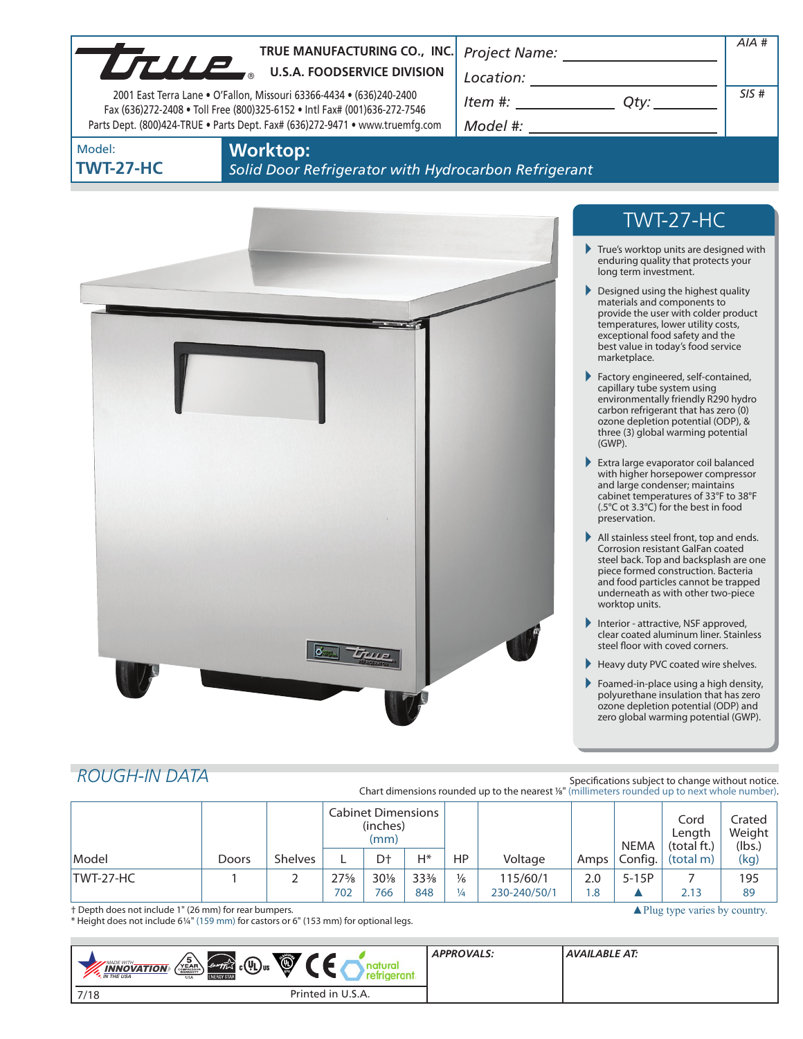|                            | TRUE MANUFACTURING CO., INC.<br>TRUE MANUFACTURING CO., INC                                                                                               |                                                                                                                                                                                                                                                                                                                                                                    |                                                                                                                                                                                                                                                                | $AIA$ #                                          |
|----------------------------|-----------------------------------------------------------------------------------------------------------------------------------------------------------|--------------------------------------------------------------------------------------------------------------------------------------------------------------------------------------------------------------------------------------------------------------------------------------------------------------------------------------------------------------------|----------------------------------------------------------------------------------------------------------------------------------------------------------------------------------------------------------------------------------------------------------------|--------------------------------------------------|
|                            |                                                                                                                                                           | $\begin{picture}(150,10) \put(0,0){\vector(1,0){100}} \put(15,0){\vector(1,0){100}} \put(15,0){\vector(1,0){100}} \put(15,0){\vector(1,0){100}} \put(15,0){\vector(1,0){100}} \put(15,0){\vector(1,0){100}} \put(15,0){\vector(1,0){100}} \put(15,0){\vector(1,0){100}} \put(15,0){\vector(1,0){100}} \put(15,0){\vector(1,0){100}} \put(15,0){\vector(1,0){100}}$ |                                                                                                                                                                                                                                                                |                                                  |
|                            | 2001 East Terra Lane . O'Fallon, Missouri 63366-4434 . (636)240-2400                                                                                      | $Item #:$ Qty:                                                                                                                                                                                                                                                                                                                                                     |                                                                                                                                                                                                                                                                | SIS#                                             |
|                            | Fax (636)272-2408 . Toll Free (800)325-6152 . Intl Fax# (001)636-272-7546<br>Parts Dept. (800)424-TRUE . Parts Dept. Fax# (636)272-9471 . www.truemfg.com |                                                                                                                                                                                                                                                                                                                                                                    |                                                                                                                                                                                                                                                                |                                                  |
| Model:<br><b>TWT-27-HC</b> | <b>Worktop:</b><br>Solid Door Refrigerator with Hydrocarbon Refrigerant                                                                                   |                                                                                                                                                                                                                                                                                                                                                                    |                                                                                                                                                                                                                                                                |                                                  |
|                            |                                                                                                                                                           |                                                                                                                                                                                                                                                                                                                                                                    | TWT-27-HC                                                                                                                                                                                                                                                      |                                                  |
|                            |                                                                                                                                                           |                                                                                                                                                                                                                                                                                                                                                                    | $\blacktriangleright$ True's worktop units are designed with<br>enduring quality that protects your<br>long term investment.                                                                                                                                   |                                                  |
|                            |                                                                                                                                                           |                                                                                                                                                                                                                                                                                                                                                                    | $\triangleright$ Designed using the highest quality<br>materials and components to<br>provide the user with colder product<br>temperatures, lower utility costs,<br>exceptional food safety and the<br>best value in today's food service<br>marketplace.      |                                                  |
|                            |                                                                                                                                                           |                                                                                                                                                                                                                                                                                                                                                                    | Factory engineered, self-contained,<br>capillary tube system using<br>environmentally friendly R290 hydro<br>carbon refrigerant that has zero (0)<br>ozone depletion potential (ODP), &<br>three (3) global warming potential<br>$(GWP)$ .                     |                                                  |
|                            |                                                                                                                                                           |                                                                                                                                                                                                                                                                                                                                                                    | Extra large evaporator coil balanced<br>with higher horsepower compressor<br>and large condenser; maintains<br>cabinet temperatures of 33°F to 38°F<br>(.5°C ot 3.3°C) for the best in food<br>preservation.                                                   |                                                  |
|                            |                                                                                                                                                           |                                                                                                                                                                                                                                                                                                                                                                    | All stainless steel front, top and ends.<br>Corrosion resistant GalFan coated<br>steel back. Top and backsplash are one<br>piece formed construction. Bacteria<br>and food particles cannot be trapped<br>underneath as with other two-piece<br>worktop units. |                                                  |
|                            |                                                                                                                                                           |                                                                                                                                                                                                                                                                                                                                                                    | Interior - attractive, NSF approved,<br>clear coated aluminum liner. Stainless<br>steel floor with coved corners.                                                                                                                                              |                                                  |
|                            |                                                                                                                                                           |                                                                                                                                                                                                                                                                                                                                                                    | Heavy duty PVC coated wire shelves.                                                                                                                                                                                                                            |                                                  |
|                            |                                                                                                                                                           |                                                                                                                                                                                                                                                                                                                                                                    | Foamed-in-place using a high density,<br>polyurethane insulation that has zero<br>ozone depletion potential (ODP) and<br>zero global warming potential (GWP).                                                                                                  |                                                  |
| <b>ROUGH-IN DATA</b>       |                                                                                                                                                           | Chart dimensions rounded up to the nearest 1/8" (millimeters rounded up to next whole number).                                                                                                                                                                                                                                                                     |                                                                                                                                                                                                                                                                | Specifications subject to change without notice. |
|                            | <b>Cabinet Dimensions</b><br>(inches)                                                                                                                     |                                                                                                                                                                                                                                                                                                                                                                    |                                                                                                                                                                                                                                                                | Cord<br>Crated<br>Weight<br>Lenath               |

|           |       |                | Cabinet Dimensions<br>(inches)<br>(mm) |                |                 |               |              | <b>NEMA</b> | Cord<br>Lenath<br>(total ft.) | Crated<br>Weight<br>(lbs.) |      |  |
|-----------|-------|----------------|----------------------------------------|----------------|-----------------|---------------|--------------|-------------|-------------------------------|----------------------------|------|--|
| Model     | Doors | <b>Shelves</b> |                                        | D <sup>+</sup> | H*              | HP            | Voltage      | Amps I      | Config.                       | (total m)                  | (kg) |  |
| TWT-27-HC |       |                | $27\frac{5}{8}$                        | $30\%$         | $33\frac{3}{8}$ | $\frac{1}{6}$ | 115/60/1     | 2.0         | $5-15P$                       |                            | 195  |  |
|           |       |                | 702                                    | 766            | 848             | $\frac{1}{4}$ | 230-240/50/1 | 1.8         |                               | 2.13                       | 89   |  |

▲ Plug type varies by country.

† Depth does not include 1" (26 mm) for rear bumpers.

\* Height does not include 61/4" (159 mm) for castors or 6" (153 mm) for optional legs.

| Ö<br>$\sqrt{\frac{5}{\text{FAR}}}$<br><i><b><i>envertion</i></b></i> $\left(\frac{1}{\sqrt{L}}\right)$ us<br><b>MADE WITH_</b><br><b>INNOVATION</b><br><b>M</b> THE USA<br><b>ENERGY STAL</b><br><b>USA</b> | <b>APPROVALS:</b> | AVAILABLE AT: |
|-------------------------------------------------------------------------------------------------------------------------------------------------------------------------------------------------------------|-------------------|---------------|
| Printed in U.S.A.<br>7/18                                                                                                                                                                                   |                   |               |